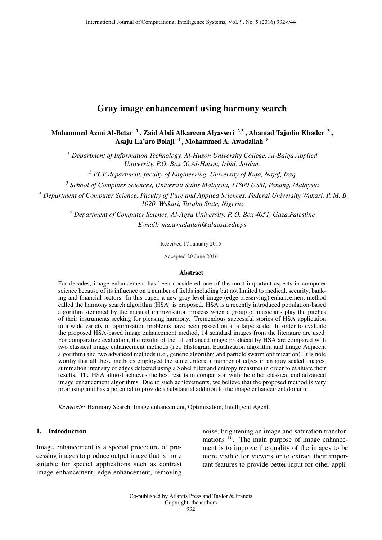# Gray image enhancement using harmony search

# Mohammed Azmi Al-Betar  $^1$ , Zaid Abdi Alkareem Alyasseri  $^{\text{2,3}}$ , Ahamad Tajudin Khader  $^3$ , Asaju La'aro Bolaji <sup>4</sup> , Mohammed A. Awadallah <sup>5</sup>

*<sup>1</sup> Department of Information Technology, Al-Huson University College, Al-Balqa Applied University, P.O. Box 50,Al-Huson, Irbid, Jordan.*

*<sup>2</sup> ECE department, faculty of Engineering, University of Kufa, Najaf, Iraq*

*<sup>3</sup> School of Computer Sciences, Universiti Sains Malaysia, 11800 USM, Penang, Malaysia*

*<sup>4</sup> Department of Computer Science, Faculty of Pure and Applied Sciences, Federal University Wukari, P. M. B. 1020, Wukari, Taraba State, Nigeria*

*<sup>5</sup> Department of Computer Science, Al-Aqsa University, P. O. Box 4051, Gaza,Palestine E-mail: ma.awadallah@alaqsa.edu.ps*

Received 17 January 2015

Accepted 20 June 2016

#### Abstract

For decades, image enhancement has been considered one of the most important aspects in computer science because of its influence on a number of fields including but not limited to medical, security, banking and financial sectors. In this paper, a new gray level image (edge preserving) enhancement method called the harmony search algorithm (HSA) is proposed. HSA is a recently introduced population-based algorithm stemmed by the musical improvisation process when a group of musicians play the pitches of their instruments seeking for pleasing harmony. Tremendous successful stories of HSA application to a wide variety of optimization problems have been passed on at a large scale. In order to evaluate the proposed HSA-based image enhancement method, 14 standard images from the literature are used. For comparative evaluation, the results of the 14 enhanced image produced by HSA are compared with two classical image enhancement methods (i.e., Histogram Equalization algorithm and Image Adjacent algorithm) and two advanced methods (i.e., genetic algorithm and particle swarm optimization). It is note worthy that all these methods employed the same criteria ( number of edges in an gray scaled images, summation intensity of edges detected using a Sobel filter and entropy measure) in order to evaluate their results. The HSA almost achieves the best results in comparison with the other classical and advanced image enhancement algorithms. Due to such achievements, we believe that the proposed method is very promising and has a potential to provide a substantial addition to the image enhancement domain.

*Keywords:* Harmony Search, Image enhancement, Optimization, Intelligent Agent.

## 1. Introduction

Image enhancement is a special procedure of processing images to produce output image that is more suitable for special applications such as contrast image enhancement, edge enhancement, removing noise, brightening an image and saturation transformations <sup>16</sup>. The main purpose of image enhancement is to improve the quality of the images to be more visible for viewers or to extract their important features to provide better input for other appli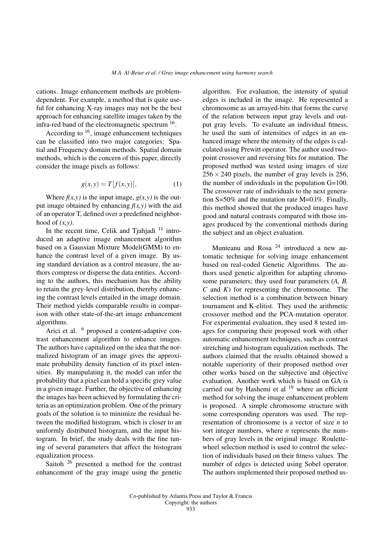cations. Image enhancement methods are problemdependent. For example, a method that is quite useful for enhancing X-ray images may not be the best approach for enhancing satellite images taken by the infra-red band of the electromagnetic spectrum <sup>16</sup>.

According to  $16$ , image enhancement techniques can be classified into two major categories: Spatial and Frequency domain methods. Spatial domain methods, which is the concern of this paper, directly consider the image pixels as follows:

$$
g(x, y) = T[f(x, y)], \tag{1}
$$

Where  $f(x, y)$  is the input image,  $g(x, y)$  is the output image obtained by enhancing  $f(x, y)$  with the aid of an operator T, defined over a predefined neighborhood of  $(x, y)$ .

In the recent time, Celik and Tjahjadi  $11$  introduced an adaptive image enhancement algorithm based on a Gaussian Mixture Model(GMM) to enhance the contrast level of a given image. By using standard deviation as a control measure, the authors compress or disperse the data entities. According to the authors, this mechanism has the ability to retain the grey-level distribution, thereby enhancing the contrast levels entailed in the image domain. Their method yields comparable results in comparison with other state-of-the-art image enhancement algorithms.

Arici et al. <sup>6</sup> proposed a content-adaptive contrast enhancement algorithm to enhance images. The authors have capitalized on the idea that the normalized histogram of an image gives the approximate probability density function of its pixel intensities. By manipulating it, the model can infer the probability that a pixel can hold a specific grey value in a given image. Further, the objective of enhancing the images has been achieved by formulating the criteria as an optimization problem. One of the primary goals of the solution is to minimize the residual between the modified histogram, which is closer to an uniformly distributed histogram, and the input histogram. In brief, the study deals with the fine tuning of several parameters that affect the histogram equalization process.

Saitoh  $26$  presented a method for the contrast enhancement of the gray image using the genetic

algorithm. For evaluation, the intensity of spatial edges is included in the image. He represented a chromosome as an arrayed-bits that forms the curve of the relation between input gray levels and output gray levels. To evaluate an individual fitness, he used the sum of intensities of edges in an enhanced image where the intensity of the edges is calculated using Prewitt operator. The author used twopoint crossover and reversing bits for mutation. The proposed method was tested using images of size  $256 \times 240$  pixels, the number of gray levels is 256, the number of individuals in the population G=100. The crossover rate of individuals to the next generation S=50% and the mutation rate M=0.l%. Finally, this method showed that the produced images have good and natural contrasts compared with those images produced by the conventional methods during the subject and an object evaluation.

Munteanu and Rosa<sup>24</sup> introduced a new automatic technique for solving image enhancement based on real-coded Genetic Algorithms. The authors used genetic algorithm for adapting chromosome parameters; they used four parameters (*A, B, C* and *K*) for representing the chromosome. The selection method is a combination between binary tournament and K-elitist. They used the arithmetic crossover method and the PCA-mutation operator. For experimental evaluation, they used 8 tested images for comparing their proposed work with other automatic enhancement techniques, such as contrast stretching and histogram equalization methods. The authors claimed that the results obtained showed a notable superiority of their proposed method over other works based on the subjective and objective evaluation. Another work which is based on GA is carried out by Hashemi et al  $19$  where an efficient method for solving the image enhancement problem is proposed. A simple chromosome structure with some corresponding operators was used. The representation of chromosome is a vector of size *n* to sort integer numbers, where *n* represents the numbers of gray levels in the original image. Roulettewheel selection method is used to control the selection of individuals based on their fitness values. The number of edges is detected using Sobel operator. The authors implemented their proposed method us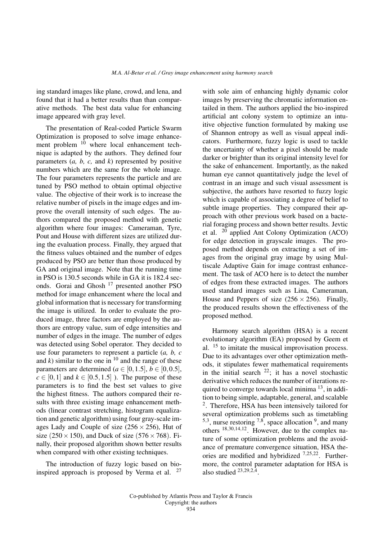ing standard images like plane, crowd, and lena, and found that it had a better results than than comparative methods. The best data value for enhancing image appeared with gray level.

The presentation of Real-coded Particle Swarm Optimization is proposed to solve image enhancement problem  $10$  where local enhancement technique is adapted by the authors. They defined four parameters (*a, b, c,* and *k*) represented by positive numbers which are the same for the whole image. The four parameters represents the particle and are tuned by PSO method to obtain optimal objective value. The objective of their work is to increase the relative number of pixels in the image edges and improve the overall intensity of such edges. The authors compared the proposed method with genetic algorithm where four images: Cameraman, Tyre, Pout and House with different sizes are utilized during the evaluation process. Finally, they argued that the fitness values obtained and the number of edges produced by PSO are better than those produced by GA and original image. Note that the running time in PSO is 130.5 seconds while in GA it is 182.4 seconds. Gorai and Ghosh <sup>17</sup> presented another PSO method for image enhancement where the local and global information that is necessary for transforming the image is utilized. In order to evaluate the produced image, three factors are employed by the authors are entropy value, sum of edge intensities and number of edges in the image. The number of edges was detected using Sobel operator. They decided to use four parameters to represent a particle (*a, b, c* and  $k$ ) similar to the one in  $10$  and the range of these parameters are determined ( $a \in [0, 1.5]$ ,  $b \in [0, 0.5]$ ,  $c \in [0,1]$  and  $k \in [0.5,1.5]$  ). The purpose of these parameters is to find the best set values to give the highest fitness. The authors compared their results with three existing image enhancement methods (linear contrast stretching, histogram equalization and genetic algorithm) using four gray-scale images Lady and Couple of size  $(256 \times 256)$ , Hut of size (250  $\times$  150), and Duck of size (576  $\times$  768). Finally, their proposed algorithm shown better results when compared with other existing techniques.

The introduction of fuzzy logic based on bioinspired approach is proposed by Verma et al.  $27$ 

with sole aim of enhancing highly dynamic color images by preserving the chromatic information entailed in them. The authors applied the bio-inspired artificial ant colony system to optimize an intuitive objective function formulated by making use of Shannon entropy as well as visual appeal indicators. Furthermore, fuzzy logic is used to tackle the uncertainty of whether a pixel should be made darker or brighter than its original intensity level for the sake of enhancement. Importantly, as the naked human eye cannot quantitatively judge the level of contrast in an image and such visual assessment is subjective, the authors have resorted to fuzzy logic which is capable of associating a degree of belief to subtle image properties. They compared their approach with other previous work based on a bacterial foraging process and shown better results. Jevtic et al. <sup>20</sup> applied Ant Colony Optimization (ACO) for edge detection in grayscale images. The proposed method depends on extracting a set of images from the original gray image by using Multiscale Adaptive Gain for image contrast enhancement. The task of ACO here is to detect the number of edges from these extracted images. The authors used standard images such as Lina, Cameraman, House and Peppers of size  $(256 \times 256)$ . Finally, the produced results shown the effectiveness of the proposed method.

Harmony search algorithm (HSA) is a recent evolutionary algorithm (EA) proposed by Geem et al. <sup>15</sup> to imitate the musical improvisation process. Due to its advantages over other optimization methods, it stipulates fewer mathematical requirements in the initial search  $22$ ; it has a novel stochastic derivative which reduces the number of iterations required to converge towards local minima  $13$ , in addition to being simple, adaptable, general, and scalable 2 . Therefore, HSA has been intensively tailored for several optimization problems such as timetabling  $5,3$ , nurse restoring  $7,8$ , space allocation  $9$ , and many others  $^{18,30,14,12}$ . However, due to the complex nature of some optimization problems and the avoidance of premature convergence situation, HSA theories are modified and hybridized <sup>7</sup>,25,22. Furthermore, the control parameter adaptation for HSA is also studied  $23,29,2,4$ .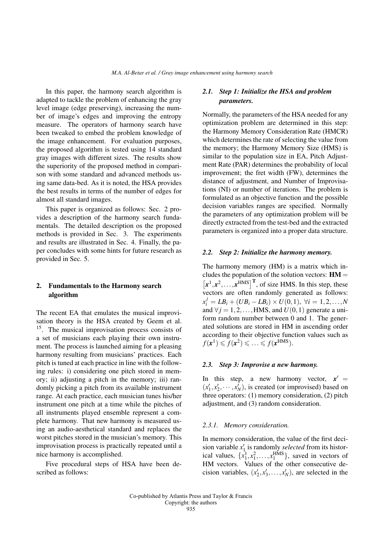In this paper, the harmony search algorithm is adapted to tackle the problem of enhancing the gray level image (edge preserving), increasing the number of image's edges and improving the entropy measure. The operators of harmony search have been tweaked to embed the problem knowledge of the image enhancement. For evaluation purposes, the proposed algorithm is tested using 14 standard gray images with different sizes. The results show the superiority of the proposed method in comparison with some standard and advanced methods using same data-bed. As it is noted, the HSA provides the best results in terms of the number of edges for almost all standard images.

This paper is organized as follows: Sec. 2 provides a description of the harmony search fundamentals. The detailed description os the proposed methods is provided in Sec. 3. The experiments and results are illustrated in Sec. 4. Finally, the paper concludes with some hints for future research as provided in Sec. 5.

# 2. Fundamentals to the Harmony search algorithm

The recent EA that emulates the musical improvisation theory is the HSA created by Geem et al. <sup>15</sup>. The musical improvisation process consists of a set of musicians each playing their own instrument. The process is launched aiming for a pleasing harmony resulting from musicians' practices. Each pitch is tuned at each practice in line with the following rules: i) considering one pitch stored in memory; ii) adjusting a pitch in the memory; iii) randomly picking a pitch from its available instrument range. At each practice, each musician tunes his/her instrument one pitch at a time while the pitches of all instruments played ensemble represent a complete harmony. That new harmony is measured using an audio-aesthetical standard and replaces the worst pitches stored in the musician's memory. This improvisation process is practically repeated until a nice harmony is accomplished.

Five procedural steps of HSA have been described as follows:

## *2.1. Step 1: Initialize the HSA and problem parameters.*

Normally, the parameters of the HSA needed for any optimization problem are determined in this step: the Harmony Memory Consideration Rate (HMCR) which determines the rate of selecting the value from the memory; the Harmony Memory Size (HMS) is similar to the population size in EA, Pitch Adjustment Rate (PAR) determines the probability of local improvement; the fret width (FW), determines the distance of adjustment, and Number of Improvisations (NI) or number of iterations. The problem is formulated as an objective function and the possible decision variables ranges are specified. Normally the parameters of any optimization problem will be directly extracted from the test-bed and the extracted parameters is organized into a proper data structure.

### *2.2. Step 2: Initialize the harmony memory.*

The harmony memory (HM) is a matrix which includes the population of the solution vectors:  $HM =$  $[x^1, x^2, \ldots, x^{HMS}]$ <sup>T</sup>, of size HMS. In this step, these vectors are often randomly generated as follows:  $x_i^j = LB_i + (UB_i - LB_i) \times U(0,1), \ \forall i = 1, 2, ..., N$ and  $\forall j = 1, 2, \ldots,$  HMS, and  $U(0, 1)$  generate a uniform random number between 0 and 1. The generated solutions are stored in HM in ascending order according to their objective function values such as  $f(\mathbf{x}^1) \leqslant f(\mathbf{x}^2) \leqslant \ldots \leqslant f(\mathbf{x}^{\text{HMS}}).$ 

## *2.3. Step 3: Improvise a new harmony.*

In this step, a new harmony vector,  $x' =$  $(x'_1, x'_2, \dots, x'_N)$ , is created (or improvised) based on three operators: (1) memory consideration, (2) pitch adjustment, and (3) random consideration.

### *2.3.1. Memory consideration.*

In memory consideration, the value of the first decision variable  $x'_1$  is randomly *selected* from its historical values,  $\{x_1^1, x_1^2, \ldots, x_1^{\text{HMS}}\}$ , saved in vectors of HM vectors. Values of the other consecutive decision variables,  $(x'_2, x'_3, \ldots, x'_N)$ , are selected in the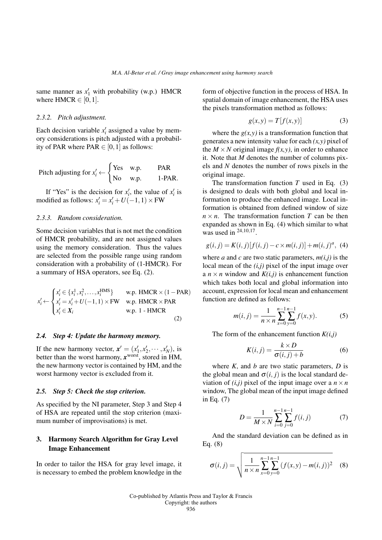same manner as  $x'_1$  with probability (w.p.) HMCR where  $HMCR \in [0, 1]$ .

## *2.3.2. Pitch adjustment.*

Each decision variable  $x'_i$  assigned a value by memory considerations is pitch adjusted with a probability of PAR where PAR  $\in [0,1]$  as follows:

Pitch adjusting for 
$$
x'_i \leftarrow \begin{cases} \text{Yes} & \text{w.p.} \\ \text{No} & \text{w.p.} \end{cases}
$$
 PAR  
1-PAR.

If "Yes" is the decision for  $x'_i$ , the value of  $x'_i$  is modified as follows:  $x'_i = x'_i + U(-1, 1) \times FW$ 

## *2.3.3. Random consideration.*

Some decision variables that is not met the condition of HMCR probability, and are not assigned values using the memory consideration. Thus the values are selected from the possible range using random consideration with a probability of (1-HMCR). For a summary of HSA operators, see Eq. (2).

$$
x'_{i} \leftarrow \begin{cases} x'_{i} \in \{x_{i}^{1}, x_{i}^{2}, \dots, x_{i}^{\text{HMS}}\} & \text{w.p. HMCR} \times (1 - \text{PAR})\\ x'_{i} = x'_{i} + U(-1, 1) \times \text{FW} & \text{w.p. HMCR} \times \text{PAR} \\ x'_{i} \in X_{i} & \text{w.p. 1 - HMCR} \end{cases} \tag{2}
$$

#### *2.4. Step 4: Update the harmony memory.*

If the new harmony vector,  $\mathbf{x}' = (x'_1, x'_2, \dots, x'_N)$ , is better than the worst harmony, *x* worst, stored in HM, the new harmony vector is contained by HM, and the worst harmony vector is excluded from it.

#### *2.5. Step 5: Check the stop criterion.*

As specified by the NI parameter, Step 3 and Step 4 of HSA are repeated until the stop criterion (maximum number of improvisations) is met.

# 3. Harmony Search Algorithm for Gray Level Image Enhancement

In order to tailor the HSA for gray level image, it is necessary to embed the problem knowledge in the form of objective function in the process of HSA. In spatial domain of image enhancement, the HSA uses the pixels transformation method as follows:

$$
g(x, y) = T[f(x, y)] \tag{3}
$$

where the  $g(x, y)$  is a transformation function that generates a new intensity value for each *(x,y)* pixel of the  $M \times N$  original image  $f(x, y)$ , in order to enhance it. Note that *M* denotes the number of columns pixels and *N* denotes the number of rows pixels in the original image.

The transformation function  $T$  used in Eq.  $(3)$ is designed to deals with both global and local information to produce the enhanced image. Local information is obtained from defined window of size  $n \times n$ . The transformation function *T* can be then expanded as shown in Eq. (4) which similar to what was used in <sup>24,10,17</sup>.

$$
g(i, j) = K(i, j)[f(i, j) - c \times m(i, j)] + m(i, j)^{a}, (4)
$$

where *a* and *c* are two static parameters, *m(i,j)* is the local mean of the *(i,j)* pixel of the input image over a  $n \times n$  window and  $K(i, j)$  is enhancement function which takes both local and global information into account, expression for local mean and enhancement function are defined as follows:

$$
m(i,j) = \frac{1}{n \times n} \sum_{x=0}^{n-1} \sum_{y=0}^{n-1} f(x,y).
$$
 (5)

The form of the enhancement function *K(i,j)*

$$
K(i,j) = \frac{k \times D}{\sigma(i,j) + b} \tag{6}
$$

where *K*, and *b* are two static parameters, *D* is the global mean and  $\sigma(i, j)$  is the local standard deviation of  $(i, j)$  pixel of the input image over a  $n \times n$ window, The global mean of the input image defined in Eq. (7)

$$
D = \frac{1}{M \times N} \sum_{i=0}^{n-1} \sum_{j=0}^{n-1} f(i, j)
$$
 (7)

And the standard deviation can be defined as in Eq. (8)

$$
\sigma(i,j) = \sqrt{\frac{1}{n \times n} \sum_{x=0}^{n-1} \sum_{y=0}^{n-1} (f(x,y) - m(i,j))^2}
$$
 (8)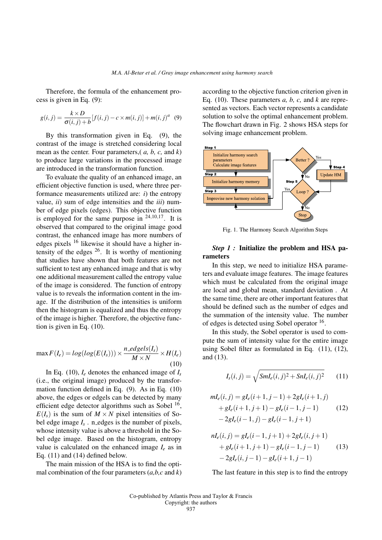Therefore, the formula of the enhancement process is given in Eq. (9):

$$
g(i,j) = \frac{k \times D}{\sigma(i,j) + b} [f(i,j) - c \times m(i,j)] + m(i,j)^a \quad (9)
$$

By this transformation given in Eq. (9), the contrast of the image is stretched considering local mean as the center. Four parameters,( *a, b, c,* and *k*) to produce large variations in the processed image are introduced in the transformation function.

To evaluate the quality of an enhanced image, an efficient objective function is used, where three performance measurements utilized are: *i*) the entropy value, *ii*) sum of edge intensities and the *iii*) number of edge pixels (edges). This objective function is employed for the same purpose in  $24,10,17$ . It is observed that compared to the original image good contrast, the enhanced image has more numbers of edges pixels <sup>16</sup> likewise it should have a higher intensity of the edges  $26$ . It is worthy of mentioning that studies have shown that both features are not sufficient to test any enhanced image and that is why one additional measurement called the entropy value of the image is considered. The function of entropy value is to reveals the information content in the image. If the distribution of the intensities is uniform then the histogram is equalized and thus the entropy of the image is higher. Therefore, the objective function is given in Eq. (10).

$$
\max F(I_e) = log(log(E(I_s))) \times \frac{n \cdot edges(s(I_s))}{M \times N} \times H(I_e)
$$
\n(10)

In Eq. (10),  $I_e$  denotes the enhanced image of  $I_s$ (i.e., the original image) produced by the transformation function defined in Eq. (9). As in Eq. (10) above, the edges or edgels can be detected by many efficient edge detector algorithms such as Sobel  $^{16}$ ,  $E(I_s)$  is the sum of  $M \times N$  pixel intensities of Sobel edge image  $I_s$ . n edges is the number of pixels, whose intensity value is above a threshold in the Sobel edge image. Based on the histogram, entropy value is calculated on the enhanced image  $I_e$  as in Eq. (11) and (14) defined below.

The main mission of the HSA is to find the optimal combination of the four parameters (*a,b,c* and *k*) according to the objective function criterion given in Eq. (10). These parameters *a, b, c,* and *k* are represented as vectors. Each vector represents a candidate solution to solve the optimal enhancement problem. The flowchart drawn in Fig. 2 shows HSA steps for solving image enhancement problem.



Fig. 1. The Harmony Search Algorithm Steps

## *Step 1 :* Initialize the problem and HSA parameters

In this step, we need to initialize HSA parameters and evaluate image features. The image features which must be calculated from the original image are local and global mean, standard deviation . At the same time, there are other important features that should be defined such as the number of edges and the summation of the intensity value. The number of edges is detected using Sobel operator <sup>16</sup>.

In this study, the Sobel operator is used to compute the sum of intensity value for the entire image using Sobel filter as formulated in Eq. (11), (12), and (13).

$$
I_s(i,j) = \sqrt{SmI_e(i,j)^2 + SmI_e(i,j)^2}
$$
 (11)

$$
mI_e(i, j) = gl_e(i+1, j-1) + 2gl_e(i+1, j)
$$
  
+  $gl_e(i+1, j+1) - gl_e(i-1, j-1)$  (12)  
-  $2gl_e(i-1, j) - gl_e(i-1, j+1)$ 

$$
nI_e(i, j) = gl_e(i - 1, j + 1) + 2gl_e(i, j + 1)
$$
  
+ 
$$
gl_e(i + 1, j + 1) - gl_e(i - 1, j - 1)
$$
 (13)  
- 
$$
2gl_e(i, j - 1) - gl_e(i + 1, j - 1)
$$

The last feature in this step is to find the entropy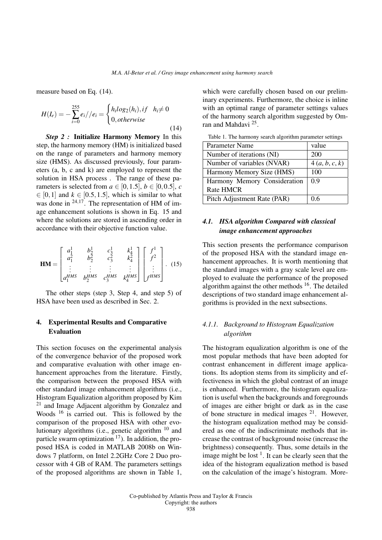measure based on Eq. (14).

$$
H(I_e) = -\sum_{i=0}^{255} e_i / e_i = \begin{cases} h_i log_2(h_i), if & h_i \neq 0 \\ 0, otherwise \end{cases}
$$
(14)

**Step 2 : Initialize Harmony Memory In this** step, the harmony memory (HM) is initialized based on the range of parameters and harmony memory size (HMS). As discussed previously, four parameters (a, b, c and k) are employed to represent the solution in HSA process . The range of these parameters is selected from  $a \in [0, 1.5]$ ,  $b \in [0, 0.5]$ , *c*  $\in [0,1]$  and  $k \in [0.5, 1.5]$ , which is similar to what was done in  $24,17$ . The representation of HM of image enhancement solutions is shown in Eq. 15 and where the solutions are stored in ascending order in accordance with their objective function value.

$$
\mathbf{HM} = \begin{bmatrix} a_1^1 & b_2^1 & c_3^1 & k_4^1 \\ a_1^2 & b_2^2 & c_3^2 & k_4^2 \\ \vdots & \vdots & \vdots & \vdots \\ a_1^{HMS} & b_2^{HMS} & c_3^{HMS} & k_4^{HMS} \end{bmatrix} \begin{bmatrix} f^1 \\ f^2 \\ \vdots \\ f^{HMS} \end{bmatrix} . (15)
$$

The other steps (step 3, Step 4, and step 5) of HSA have been used as described in Sec. 2.

# 4. Experimental Results and Comparative Evaluation

This section focuses on the experimental analysis of the convergence behavior of the proposed work and comparative evaluation with other image enhancement approaches from the literature. Firstly, the comparison between the proposed HSA with other standard image enhancement algorithms (i.e., Histogram Equalization algorithm proposed by Kim <sup>21</sup> and Image Adjacent algorithm by Gonzalez and Woods <sup>16</sup> is carried out. This is followed by the comparison of the proposed HSA with other evolutionary algorithms (i.e., genetic algorithm  $10$  and particle swarm optimization  $17$ ). In addition, the proposed HSA is coded in MATLAB 2008b on Windows 7 platform, on Intel 2.2GHz Core 2 Duo processor with 4 GB of RAM. The parameters settings of the proposed algorithms are shown in Table 1,

which were carefully chosen based on our preliminary experiments. Furthermore, the choice is inline with an optimal range of parameter settings values of the harmony search algorithm suggested by Omran and Mahdavi<sup>25</sup>.

| Parameter Name               | value         |
|------------------------------|---------------|
| Number of iterations (NI)    | 200           |
| Number of variables (NVAR)   | 4(a, b, c, k) |
| Harmony Memory Size (HMS)    | 100           |
| Harmony Memory Consideration | 0.9           |
| Rate HMCR                    |               |
| Pitch Adjustment Rate (PAR)  | 06            |

Table 1. The harmony search algorithm parameter settings

# *4.1. HSA algorithm Compared with classical image enhancement approaches*

This section presents the performance comparison of the proposed HSA with the standard image enhancement approaches. It is worth mentioning that the standard images with a gray scale level are employed to evaluate the performance of the proposed algorithm against the other methods <sup>16</sup>. The detailed descriptions of two standard image enhancement algorithms is provided in the next subsections.

# *4.1.1. Background to Histogram Equalization algorithm*

The histogram equalization algorithm is one of the most popular methods that have been adopted for contrast enhancement in different image applications. Its adoption stems from its simplicity and effectiveness in which the global contrast of an image is enhanced. Furthermore, the histogram equalization is useful when the backgrounds and foregrounds of images are either bright or dark as in the case of bone structure in medical images <sup>21</sup>. However, the histogram equalization method may be considered as one of the indiscriminate methods that increase the contrast of background noise (increase the brightness) consequently. Thus, some details in the image might be lost  $<sup>1</sup>$ . It can be clearly seen that the</sup> idea of the histogram equalization method is based on the calculation of the image's histogram. More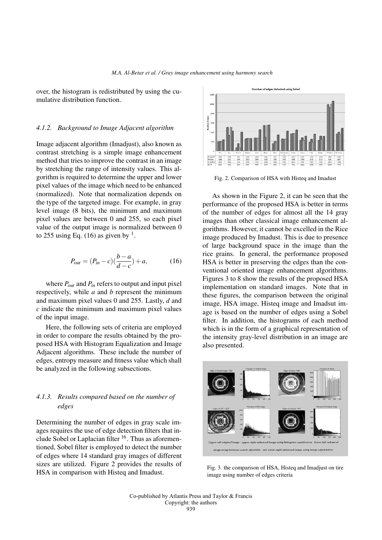over, the histogram is redistributed by using the cumulative distribution function.

## *4.1.2. Background to Image Adjacent algorithm*

Image adjacent algorithm (Imadjust), also known as contrast stretching is a simple image enhancement method that tries to improve the contrast in an image by stretching the range of intensity values. This algorithm is required to determine the upper and lower pixel values of the image which need to be enhanced (normalized). Note that normalization depends on the type of the targeted image. For example, in gray level image (8 bits), the minimum and maximum pixel values are between 0 and 255, so each pixel value of the output image is normalized between 0 to 255 using Eq. (16) as given by  $<sup>1</sup>$ .</sup>

$$
P_{out} = (P_{in} - c)\left(\frac{b - a}{d - c}\right) + a,\tag{16}
$$

where  $P_{out}$  and  $P_{in}$  refers to output and input pixel respectively, while *a* and *b* represent the minimum and maximum pixel values 0 and 255. Lastly, *d* and *c* indicate the minimum and maximum pixel values of the input image.

Here, the following sets of criteria are employed in order to compare the results obtained by the proposed HSA with Histogram Equalization and Image Adjacent algorithms. These include the number of edges, entropy measure and fitness value which shall be analyzed in the following subsections.

# *4.1.3. Results compared based on the number of edges*

Determining the number of edges in gray scale images requires the use of edge detection filters that include Sobel or Laplacian filter <sup>16</sup>. Thus as aforementioned, Sobel filter is employed to detect the number of edges where 14 standard gray images of different sizes are utilized. Figure 2 provides the results of HSA in comparison with Histeq and Imadust.



Fig. 2. Comparison of HSA with Histeq and Imadust

As shown in the Figure 2, it can be seen that the performance of the proposed HSA is better in terms of the number of edges for almost all the 14 gray images than other classical image enhancement algorithms. However, it cannot be excelled in the Rice image produced by Imadust. This is due to presence of large background space in the image than the rice grains. In general, the performance proposed HSA is better in preserving the edges than the conventional oriented image enhancement algorithms. Figures 3 to 8 show the results of the proposed HSA implementation on standard images. Note that in these figures, the comparison between the original image, HSA image, Histeq image and Imadsut image is based on the number of edges using a Sobel filter. In addition, the histograms of each method which is in the form of a graphical representation of the intensity gray-level distribution in an image are also presented.



Fig. 3. the comparison of HSA, Histeq and Imadjust on tire image using number of edges criteria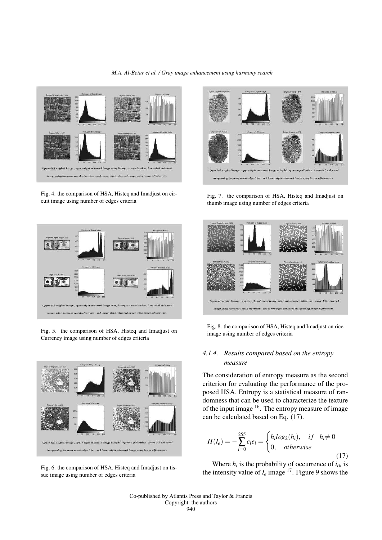*M.A. Al-Betar et al. / Gray image enhancement using harmony search*



Fig. 4. the comparison of HSA, Histeq and Imadjust on circuit image using number of edges criteria



Fig. 5. the comparison of HSA, Histeq and Imadjust on Currency image using number of edges criteria



Fig. 6. the comparison of HSA, Histeq and Imadjust on tissue image using number of edges criteria



Fig. 7. the comparison of HSA, Histeq and Imadjust on thumb image using number of edges criteria



Fig. 8. the comparison of HSA, Histeq and Imadjust on rice image using number of edges criteria

# *4.1.4. Results compared based on the entropy measure*

The consideration of entropy measure as the second criterion for evaluating the performance of the proposed HSA. Entropy is a statistical measure of randomness that can be used to characterize the texture of the input image  $16$ . The entropy measure of image can be calculated based on Eq. (17).

$$
H(I_e) = -\sum_{i=0}^{255} e_i e_i = \begin{cases} h_i \log_2(h_i), & \text{if } h_i \neq 0\\ 0, & \text{otherwise} \end{cases} \tag{17}
$$

Where  $h_i$  is the probability of occurrence of  $i_{th}$  is the intensity value of  $I_e$  image <sup>17</sup>. Figure 9 shows the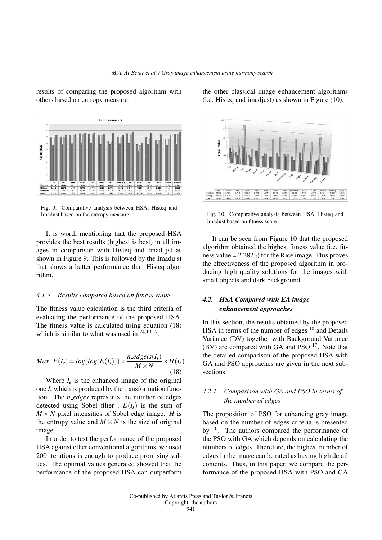*M.A. Al-Betar et al. / Gray image enhancement using harmony search*

results of comparing the proposed algorithm with others based on entropy measure.



Fig. 9. Comparative analysis between HSA, Histeq and Imadust based on the entropy measure

It is worth mentioning that the proposed HSA provides the best results (highest is best) in all images in comparison with Histeq and Imadujst as shown in Figure 9. This is followed by the Imadujst that shows a better performance than Histeq algorithm.

## *4.1.5. Results compared based on fitness value*

The fitness value calculation is the third criteria of evaluating the performance of the proposed HSA. The fitness value is calculated using equation (18) which is similar to what was used in  $24,10,17$ .

$$
Max \ F(I_e) = log(log(E(I_s))) \times \frac{n \cdot edges(I_s)}{M \times N} \times H(I_e)
$$
\n(18)

Where  $I_e$  is the enhanced image of the original one  $I_s$  which is produced by the transformation function. The *n edges* represents the number of edges detected using Sobel filter,  $E(I_s)$  is the sum of  $M \times N$  pixel intensities of Sobel edge image. *H* is the entropy value and  $M \times N$  is the size of original image.

In order to test the performance of the proposed HSA against other conventional algorithms, we used 200 iterations is enough to produce promising values. The optimal values generated showed that the performance of the proposed HSA can outperform

the other classical image enhancement algorithms (i.e. Histeq and imadjust) as shown in Figure (10).



Fig. 10. Comparative analysis between HSA, Histeq and imadust based on fitness score

It can be seen from Figure 10 that the proposed algorithm obtained the highest fitness value (i.e. fitness value = 2.2823) for the Rice image. This proves the effectiveness of the proposed algorithm in producing high quality solutions for the images with small objects and dark background.

# *4.2. HSA Compared with EA image enhancement approaches*

In this section, the results obtained by the proposed HSA in terms of the number of edges <sup>10</sup> and Details Variance (DV) together with Background Variance  $(BV)$  are compared with GA and PSO  $17$ . Note that the detailed comparison of the proposed HSA with GA and PSO approaches are given in the next subsections.

# *4.2.1. Comparison with GA and PSO in terms of the number of edges*

The proposition of PSO for enhancing gray image based on the number of edges criteria is presented by  $10$ . The authors compared the performance of the PSO with GA which depends on calculating the numbers of edges. Therefore, the highest number of edges in the image can be rated as having high detail contents. Thus, in this paper, we compare the performance of the proposed HSA with PSO and GA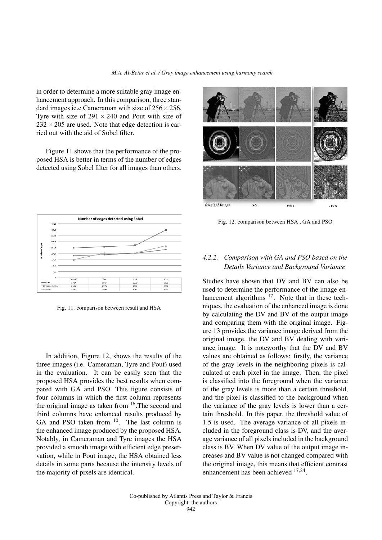in order to determine a more suitable gray image enhancement approach. In this comparison, three standard images ie.e Cameraman with size of  $256 \times 256$ , Tyre with size of  $291 \times 240$  and Pout with size of  $232 \times 205$  are used. Note that edge detection is carried out with the aid of Sobel filter.

Figure 11 shows that the performance of the proposed HSA is better in terms of the number of edges detected using Sobel filter for all images than others.



Fig. 11. comparison between result and HSA

In addition, Figure 12, shows the results of the three images (i.e. Cameraman, Tyre and Pout) used in the evaluation. It can be easily seen that the proposed HSA provides the best results when compared with GA and PSO. This figure consists of four columns in which the first column represents the original image as taken from <sup>16</sup>.The second and third columns have enhanced results produced by GA and PSO taken from  $10$ . The last column is the enhanced image produced by the proposed HSA. Notably, in Cameraman and Tyre images the HSA provided a smooth image with efficient edge preservation, while in Pout image, the HSA obtained less details in some parts because the intensity levels of the majority of pixels are identical.



Fig. 12. comparison between HSA , GA and PSO

## *4.2.2. Comparison with GA and PSO based on the Details Variance and Background Variance*

Studies have shown that DV and BV can also be used to determine the performance of the image enhancement algorithms <sup>17</sup>. Note that in these techniques, the evaluation of the enhanced image is done by calculating the DV and BV of the output image and comparing them with the original image. Figure 13 provides the variance image derived from the original image, the DV and BV dealing with variance image. It is noteworthy that the DV and BV values are obtained as follows: firstly, the variance of the gray levels in the neighboring pixels is calculated at each pixel in the image. Then, the pixel is classified into the foreground when the variance of the gray levels is more than a certain threshold, and the pixel is classified to the background when the variance of the gray levels is lower than a certain threshold. In this paper, the threshold value of 1.5 is used. The average variance of all pixels included in the foreground class is DV, and the average variance of all pixels included in the background class is BV. When DV value of the output image increases and BV value is not changed compared with the original image, this means that efficient contrast enhancement has been achieved  $17,24$ .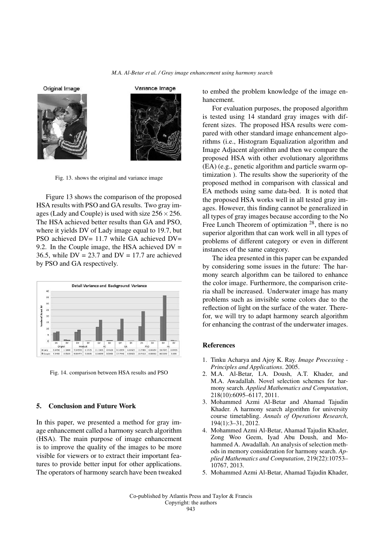*M.A. Al-Betar et al. / Gray image enhancement using harmony search*



Fig. 13. shows the original and variance image

Figure 13 shows the comparison of the proposed HSA results with PSO and GA results. Two gray images (Lady and Couple) is used with size  $256 \times 256$ . The HSA achieved better results than GA and PSO, where it yields DV of Lady image equal to 19.7, but PSO achieved DV= 11.7 while GA achieved DV= 9.2. In the Couple image, the HSA achieved  $DV =$ 36.5, while  $DV = 23.7$  and  $DV = 17.7$  are achieved by PSO and GA respectively.



Fig. 14. comparison between HSA results and PSO

## 5. Conclusion and Future Work

In this paper, we presented a method for gray image enhancement called a harmony search algorithm (HSA). The main purpose of image enhancement is to improve the quality of the images to be more visible for viewers or to extract their important features to provide better input for other applications. The operators of harmony search have been tweaked to embed the problem knowledge of the image enhancement.

For evaluation purposes, the proposed algorithm is tested using 14 standard gray images with different sizes. The proposed HSA results were compared with other standard image enhancement algorithms (i.e., Histogram Equalization algorithm and Image Adjacent algorithm and then we compare the proposed HSA with other evolutionary algorithms (EA) (e.g., genetic algorithm and particle swarm optimization ). The results show the superiority of the proposed method in comparison with classical and EA methods using same data-bed. It is noted that the proposed HSA works well in all tested gray images. However, this finding cannot be generalized in all types of gray images because according to the No Free Lunch Theorem of optimization  $28$ , there is no superior algorithm that can work well in all types of problems of different category or even in different instances of the same category.

The idea presented in this paper can be expanded by considering some issues in the future: The harmony search algorithm can be tailored to enhance the color image. Furthermore, the comparison criteria shall be increased. Underwater image has many problems such as invisible some colors due to the reflection of light on the surface of the water. Therefor, we will try to adapt harmony search algorithm for enhancing the contrast of the underwater images.

### References

- 1. Tinku Acharya and Ajoy K. Ray. *Image Processing - Principles and Applications*. 2005.
- 2. M.A. Al-Betar, I.A. Doush, A.T. Khader, and M.A. Awadallah. Novel selection schemes for harmony search. *Applied Mathematics and Computation*, 218(10):6095–6117, 2011.
- 3. Mohammed Azmi Al-Betar and Ahamad Tajudin Khader. A harmony search algorithm for university course timetabling. *Annals of Operations Research*, 194(1):3–31, 2012.
- 4. Mohammed Azmi Al-Betar, Ahamad Tajudin Khader, Zong Woo Geem, Iyad Abu Doush, and Mohammed A. Awadallah. An analysis of selection methods in memory consideration for harmony search. *Applied Mathematics and Computation*, 219(22):10753– 10767, 2013.
- 5. Mohammed Azmi Al-Betar, Ahamad Tajudin Khader,